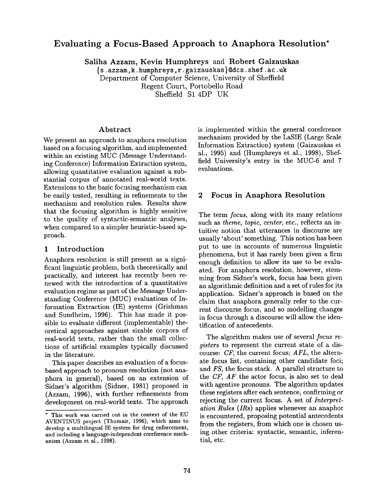# **Evaluating a Focus-Based Approach to Anaphora Resolution\***

Saliha Azzam, Kevin Humphreys and Robert Gaizauskas

{s. azzam, k. humphreys, r. gaizauskas}©dcs, shef. ac. uk Department of Computer Science, University of Sheffield Regent Court, Portobello Road Sheffield S1 4DP UK

### Abstract

We present an approach to anaphora resolution based on a focusing algorithm, and implemented within an existing MUC (Message Understanding Conference) Information Extraction system, allowing quantitative evaluation against a substantial corpus of annotated real-world texts. Extensions to the basic focusing mechanism can be easily tested, resulting in refinements to the mechanism and resolution rules. Results show that the focusing algorithm is highly sensitive to the quality of syntactic-semantic analyses, when compared to a simpler heuristic-based approach.

### 1 Introduction

Anaphora resolution is still present as a significant linguistic problem, both theoretically and practically, and interest has recently been renewed with the introduction of a quantitative evaluation regime as part of the Message Understanding Conference (MUC) evaluations of Information Extraction (IE) systems (Grishman and Sundheim, 1996). This has made it possible to evaluate different (implementable) theoretical approaches against sizable corpora of real-world texts, rather than the small collections of artificial examples typically discussed in the literature.

This paper describes an evaluation of a focusbased approach to pronoun resolution (not anaphora in general), based on an extension of Sidner's algorithm (Sidner, 1981) proposed in (Azzam, 1996), with further refinements from development on real-world texts. The approach

is implemented within the general coreference mechanism provided by the LaSIE (Large Scale Information Extraction) system (Gaizauskas et al., 1995) and (Humphreys et al., 1998), Sheffield University's entry in the MUC-6 and 7 evaluations.

### 2 Focus in Anaphora Resolution

The term *focus,* along with its many relations such as *theme, topic, center, etc., reflects* an intuitive notion that utterances in discourse are usually 'about' something. This notion has been put to use in accounts of numerous linguistic phenomena, but it has rarely been given a firm enough definition to allow its use to be evaluated. For anaphora resolution, however, stemming from Sidner's work, focus has been given an algorithmic definition and a set of rules for its application. Sidner's approach is based on the claim that anaphora generally refer to the current discourse focus, and so modelling changes in focus through a discourse will allow the identification of antecedents.

The algorithm makes use of several *focus registers* to represent the current state of a discourse: *CF,* the current focus; *AFL,* the alternate focus list, containing other candidate foci; and *FS,* the focus stack. A parallel structure to the *CF, AF* the actor focus, is also set to deal with agentive pronouns. The algorithm updates these registers after each sentence, confirming or rejecting the current focus. A set of *Interpretation Rules* (IRs) applies whenever an anaphor is encountered, proposing potential antecedents from the registers, from which one is chosen using other criteria: syntactic, semantic, inferential, etc.

<sup>\*</sup> This work was carried out in the context of the EU AVENTINUS project (Thumair, 1996), which aims to develop a multilingual IE system for drug enforcement, and including a language-independent coreference mechanism (Azzam et al., 1998).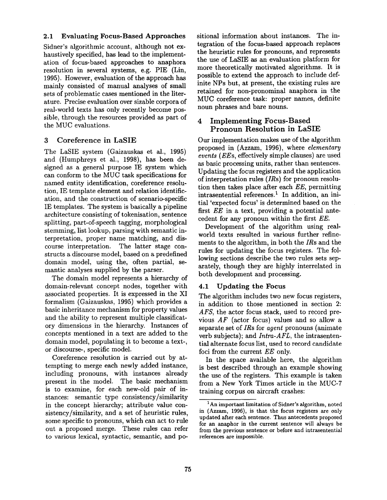# **2.1 Evaluating Focus-Based Approaches**

Sidner's algorithmic account, although not exhaustively specified, has lead to the implementation of focus-based approaches to anaphora resolution in several systems, e.g. PIE (Lin, 1995). However, evaluation of the approach has mainly consisted of manual analyses of small sets of problematic cases mentioned in the literature. Precise evaluation over sizable corpora of real-world texts has only recently become possible, through the resources provided as part of the MUC evaluations.

# 3 Coreference in LaSIE

The LaSIE system (Gaizauskas et al., 1995) and (Humphreys et al., 1998), has been designed as a general purpose IE system which can conform to the MUC task specifications for named entity identification, coreference resolution, IE template element and relation identification, and the construction of scenario-specific IE templates. The system is basically a pipeline architecture consisting of tokenisation, sentence splitting, part-of-speech tagging, morphological stemming, list lookup, parsing with semantic interpretation, proper name matching, and discourse interpretation. The latter stage constructs a discourse model, based on a predefined domain model, using the, often partial, semantic analyses supplied by the parser.

The domain model represents a hierarchy of domain-relevant concept nodes, together with associated properties. It is expressed in the XI formalism (Gaizauskas, 1995) which provides a basic inheritance mechanism for property values and the ability to represent multiple classificatory dimensions in the hierarchy. Instances of concepts mentioned in a text are added to the domain model, populating it to become a text-, or discourse-, specific model.

Coreference resolution is carried out by attempting to merge each newly added instance, including pronouns, with instances already present in the model. The basic mechanism is to examine, for each new-old pair of instances: semantic type consistency/similarity in the concept hierarchy; attribute value consistency/similarity, and a set of heuristic rules, some specific to pronouns, which can act to rule out a proposed merge. These rules can refer to various lexical, syntactic, semantic, and **po-** sitional information about instances. The integration of the focus-based approach replaces the heuristic rules for pronouns, and represents the use of LaSIE as an evaluation platform for more theoretically motivated algorithms. It is possible to extend the approach to include definite NPs but, at present, the existing rules are retained for non-pronominal anaphora in the MUC coreference task: proper names, definite noun phrases and bare nouns.

# 4 Implementing **Focus-Based Pronoun Resolution in** LaSIE

Our implementation makes use of the algorithm proposed in (Azzam, 1996), where *elementary events (EEs,* effectively simple clauses) are used as basic processing units, rather than sentences. Updating the focus registers and the application of interpretation rules (IRs) for pronoun resolution then takes place after each *EE,* permitting intrasentential references.<sup>1</sup> In addition, an initial 'expected focus' is determined based on the first *EE* in a text, providing a potential antecedent for any pronoun within the first *EE.* 

Development of the algorithm using realworld texts resulted in various further refinements to the algorithm, in both the *IRs* and the rules for updating the focus registers. The following sections describe the two rules sets separately, though they are highly interrelated in both development and processing.

# 4.1 Updating the **Focus**

The algorithm includes two new focus registers, in addition to those mentioned in section 2: AFS, the actor focus stack, used to record previous *AF* (actor focus) values and so allow a separate set of *IRs* for *agent* pronouns (animate verb subjects); and *Intra-AFL,* the intrasentential alternate focus list, used to record candidate foci from the current *EE* only.

In the space available here, the algorithm is best described through an example showing the use of the registers. This example is taken from a New York Times article in the MUC-7 training corpus on aircraft crashes:

<sup>&</sup>lt;sup>1</sup>An important limitation of Sidner's algorithm, noted **in** (Azzam, 1996), is that the focus registers are only updated after each sentence. Thus antecedents proposed for an anaphor in the current sentence will always be from the previous sentence or before and intrasentential **references** axe impossible.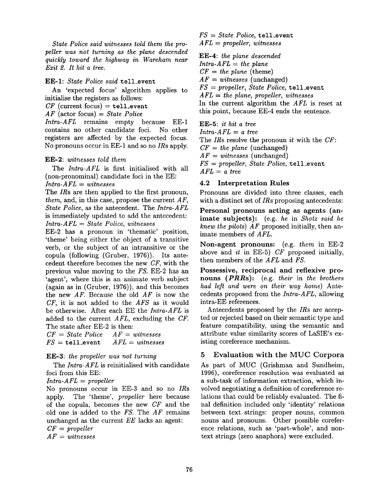*State Police said witnesses told them the propeller was not turning as the plane descended quickly toward the highway in Wareham near Exit 2. It hit a tree.* 

#### EE-I: *State Police said* tell\_event

An 'expected focus' algorithm applies to initialise the registers as follows:

 $CF$  (current focus) = tell\_event

*AF* (actor focus) *= State Police* 

*Intra-AFL* remains empty because EE-1 contains no other candidate foci. No other registers are affected by the expected focus. No pronouns occur in EE-1 and so no *IRs* apply.

#### EE-2: *witnesses told them*

The *Intra-AFL* is first initialised with all (non-pronominal) candidate foci in the EE: *Intra-AFL = witnesses* 

The *IRs* are then applied to the first pronoun, *them,* and, in this case, propose the current *AF, State Police,* as the antecedent. The *Intra-AFL*  is immediately updated to add the antecedent: *Intra-AFL = State Police, witnesses* 

EE-2 has a pronoun in 'thematic' position, 'theme' being either the object of a transitive verb, or the subject of an intransitive or the copula (following (Gruber, 1976)). Its antecedent therefore becomes the new *CF,* with the previous value moving to the *FS.* EE-2 has an 'agent', where this is an animate verb subject (again as in (Gruber, 1976)), and this becomes the new *AF.* Because the old *AF* is now the *CF,* it is not added to the *AFS* as it would be otherwise. After each EE the *Intra-AFL* is added to the current *AFL,* excluding the *CF.*  The state after EE-2 is then:

*CF = State Police AF = witnesses FS* = tell\_event *AFL = witnesses* 

#### EE-3: *the propeller was not turning*

The *Intra-AFL* is reinitialised with candidate foci from this EE:

*Intra-AFL = propeller* 

No pronouns occur in EE-3 and so no *IRs*  apply. The 'theme', *propeller* here because of the copula, becomes the new *CF* and the old one is added to the *FS.* The *AF* remains unchanged as the current *EE* lacks an agent:

*CF = propeller* 

*AF = witnesses* 

*FS = State Police,* tell\_event *AFL = propeller, witnesses* 

EE-4: *the plane descended Intra-AFL = the plane*   $CF = the plane$  (theme)  $AF = \textit{witnesses}$  (unchanged) *FS = propeller, State Police,* tell\_event *AFL = the plane, propeller, witnesses*  In the current algorithm the *AFL* is reset at this point, because EE-4 ends the sentence. EE-5: *it hit a tree* 

*Intra-AFL = a tree*  The *IRs* resolve the pronoun *it* with the *CF: CF = the plane* (unchanged) *AF = witnesses* (unchanged) *FS = propeller, State Police,* tell\_event *AFL = a tree* 

### 4.2 Interpretation Rules

Pronouns are divided into three classes, each with a distinct set of *IRs* proposing antecedents:

Personal pronouns acting as agents (animate subjects): (e.g. *he* in *Shotz said he knew the pilots) AF* proposed initially, then animate members of *AFL.* 

Non-agent pronouns: (e.g. *them* in EE-2 above and *it* in EE-5) *CF* proposed initially, then members of the *AFL* and *FS.* 

Possessive, reciprocal and reflexive pronouns *(PRRs):* (e.g. *their* in *the brothers had left and were on their way home)* Antecedents proposed from the *Intra-AFL,* allowing intra-EE references.

Antecedents proposed by the *IRs* are accepted or rejected based on their semantic type and feature compatibility, using the semantic and attribute value similarity scores of LaSIE's existing coreference mechanism.

# 5 Evaluation with the MUC Corpora

As part of MUC (Grishman and Sundheim, 1996), coreference resolution was evaluated as a sub-task of information extraction, which involved negotiating a definition of coreference relations that could be reliably evaluated. The final definition included only 'identity' relations between text strings: proper nouns, common nouns and pronouns. Other possible coreference relations, such as 'part-whole', and nontext strings (zero anaphora) were excluded.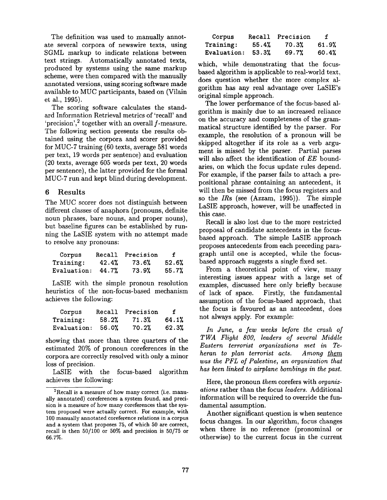The definition was used to manually annotate several corpora of newswire texts, using SGML markup to indicate relations between text strings. Automatically annotated texts, produced by systems using the same markup scheme, were then compared with the manually annotated versions, using scoring software made available to MUC participants, based on (Vilain et al., 1995).

The scoring software calculates the standard Information Retrieval metrics of 'recall' and 'precision',<sup>2</sup> together with an overall  $f$ -measure. The following section presents the results obtained using the corpora and scorer provided for MUC-7 training (60 texts, average 581 words per text, 19 words per sentence) and evaluation (20 texts, average 605 words per text, 20 words per sentence), the latter provided for the formal MUC-7 run and kept blind during development.

### 6 Results

The MUC scorer does not distinguish between different classes of anaphora (pronouns, definite noun phrases, bare nouns, and proper nouns), but baseline figures can be established by running the LaSIE system with no attempt made to resolve any pronouns:

| Corpus      | <b>Recall</b> | Precision |       |
|-------------|---------------|-----------|-------|
| Training:   | 42.4%         | 73.6%     | 52.6% |
| Evaluation: | 44.7%         | 73.9%     | 55.7% |

LaSIE with the simple pronoun resolution heuristics of the non-focus-based mechanism achieves the following:

| Corpus             | Recall | Precision | f     |
|--------------------|--------|-----------|-------|
| <b>Training:</b>   | 58.2%  | 71.3%     | 64.1% |
| <b>Evaluation:</b> | 56.0%  | 70.2%     | 62.3% |

showing that more than three quarters of the estimated 20% of pronoun coreferences in the corpora are correctly resolved with only a minor loss of precision.

LaSIE with the focus-based algorithm achieves the following:

| Corpus      |       | Recall Precision | f     |
|-------------|-------|------------------|-------|
| Training:   | 55.4% | 70.3%            | 61.9% |
| Evaluation: | 53.3% | 69.7%            | 60.4% |

which, while demonstrating that the focusbased algorithm is applicable to real-world text, does question whether the more complex algorithm has any real advantage over LaSIE's original simple approach.

The lower performance of the focus-based algorithm is mainly due to an increased reliance on the accuracy and completeness of the grammatical structure identified by the parser. For example, the resolution of a pronoun will be skipped altogether if its role as a verb argument is missed by the parser. Partial parses will also affect the identification of *EE* boundaries, on which the focus update rules depend. For example, if the parser fails to attach a prepositional phrase containing an antecedent, it will then be missed from the focus registers and so the *IRs* (see (Azzam, 1995)). The simple LaSIE approach, however, will be unaffected in this case.

Recall is also lost due to the more restricted proposal of candidate antecedents in the focusbased approach. The simple LaSIE approach proposes antecedents from each preceding paragraph until one is accepted, while the focusbased approach suggests a single fixed set.

From a theoretical point of view, many interesting issues appear with a large set of examples, discussed here only briefly because of lack of space. Firstly, the fundamental assumption of the focus-based approach, that the focus is favoured as an antecedent, does not always apply. For example:

*In June, a few weeks before the crash of TWA Flight 800, leaders of several Middle Eastern terrorist organizations met in Teheran to plan terrorist acts. Among them was the PFL of Palestine, an organization that has been linked to airplane bombings in the past.* 

Here, the pronoun *them* corefers with *organizations* rather than the focus *leaders.* Additional information will be required to override the fundamental assumption.

Another significant question is when sentence focus changes. In our algorithm, focus changes when there is no reference (pronominal or otherwise) to the current focus in the current

 $2$ Recall is a measure of how many correct (i.e. manually annotated) coreferences a system found, and precision is a measure of how many coreferences that the system proposed were actually correct. For example, with 100 manually annotated coreference relations in a corpus and a system that proposes 75, of which 50 are correct, recall is then 50/100 or 50% and precision is 50/75 or 66.7%.